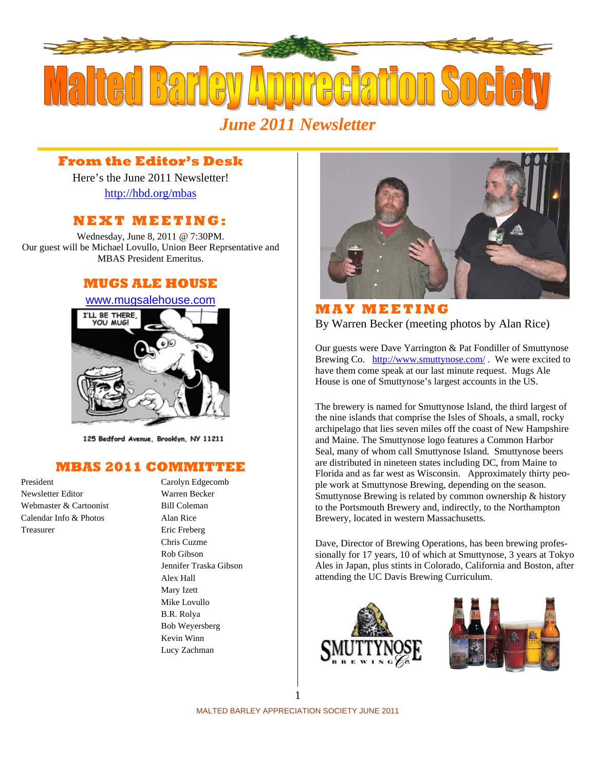

### **From the Editor's Desk**

Here's the June 2011 Newsletter! http://hbd.org/mbas

### **NEXT MEETING:**

Wednesday, June 8, 2011 @ 7:30PM. Our guest will be Michael Lovullo, Union Beer Reprsentative and MBAS President Emeritus.

#### **MUGS ALE HOUSE**

# www.mugsalehouse.com



125 Bedford Avenue, Brooklyn, NY 11211

## **MBAS 2011 COMMITTEE**

Newsletter Editor Warren Becker Webmaster & Cartoonist Bill Coleman  $Calendar Inf<sub>0</sub>$  & Photos  $Alan Ric$ e Treasurer Eric Freberg

President Carolyn Edgecomb Chris Cuzme Rob Gibson Jennifer Traska Gibson Alex Hall Mary Izett Mike Lovullo B.R. Rolya Bob Weyersberg Kevin Winn Lucy Zachman



**MAY MEETING**  By Warren Becker (meeting photos by Alan Rice)

Our guests were Dave Yarrington & Pat Fondiller of Smuttynose Brewing Co. http://www.smuttynose.com/ . We were excited to have them come speak at our last minute request. Mugs Ale House is one of Smuttynose's largest accounts in the US.

The brewery is named for Smuttynose Island, the third largest of the nine islands that comprise the Isles of Shoals, a small, rocky archipelago that lies seven miles off the coast of New Hampshire and Maine. The Smuttynose logo features a Common Harbor Seal, many of whom call Smuttynose Island. Smuttynose beers are distributed in nineteen states including DC, from Maine to Florida and as far west as Wisconsin. Approximately thirty people work at Smuttynose Brewing, depending on the season. Smuttynose Brewing is related by common ownership & history to the Portsmouth Brewery and, indirectly, to the Northampton Brewery, located in western Massachusetts.

Dave, Director of Brewing Operations, has been brewing professionally for 17 years, 10 of which at Smuttynose, 3 years at Tokyo Ales in Japan, plus stints in Colorado, California and Boston, after attending the UC Davis Brewing Curriculum.



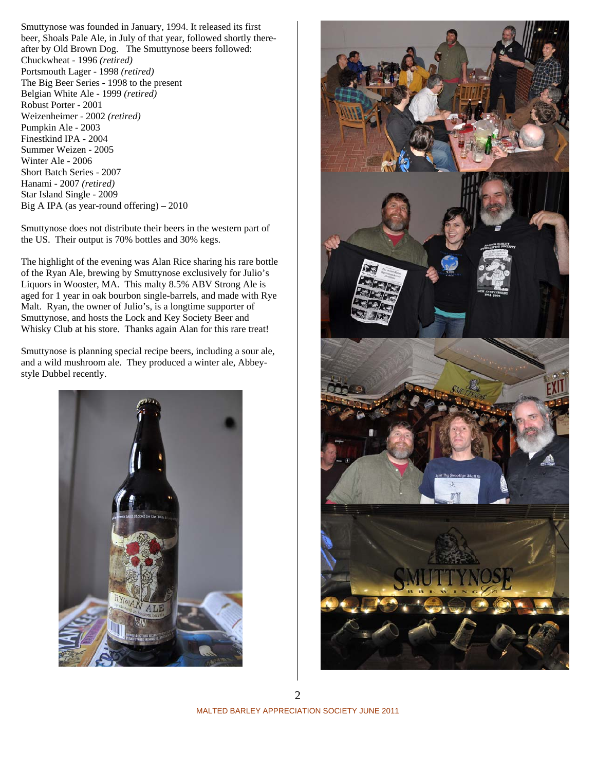Smuttynose was founded in January, 1994. It released its first beer, Shoals Pale Ale, in July of that year, followed shortly thereafter by Old Brown Dog. The Smuttynose beers followed: Chuckwheat - 1996 *(retired)* Portsmouth Lager - 1998 *(retired)* The Big Beer Series - 1998 to the present Belgian White Ale - 1999 *(retired)* Robust Porter - 2001 Weizenheimer - 2002 *(retired)* Pumpkin Ale - 2003 Finestkind IPA - 2004 Summer Weizen - 2005 Winter Ale - 2006 Short Batch Series - 2007 Hanami - 2007 *(retired)*  Star Island Single - 2009 Big A IPA (as year-round offering) – 2010

Smuttynose does not distribute their beers in the western part of the US. Their output is 70% bottles and 30% kegs.

The highlight of the evening was Alan Rice sharing his rare bottle of the Ryan Ale, brewing by Smuttynose exclusively for Julio's Liquors in Wooster, MA. This malty 8.5% ABV Strong Ale is aged for 1 year in oak bourbon single-barrels, and made with Rye Malt. Ryan, the owner of Julio's, is a longtime supporter of Smuttynose, and hosts the Lock and Key Society Beer and Whisky Club at his store. Thanks again Alan for this rare treat!

Smuttynose is planning special recipe beers, including a sour ale, and a wild mushroom ale. They produced a winter ale, Abbeystyle Dubbel recently.